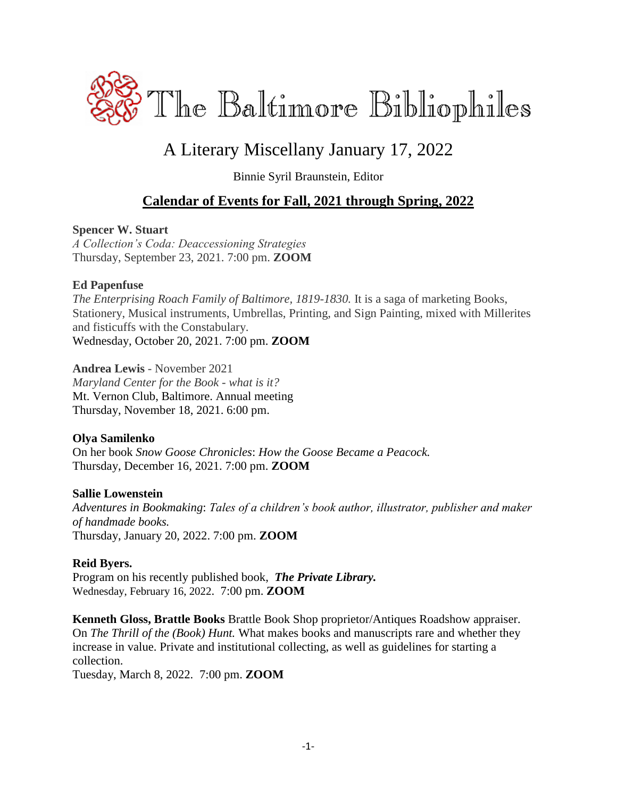

# A Literary Miscellany January 17, 2022

Binnie Syril Braunstein, Editor

# **Calendar of Events for Fall, 2021 through Spring, 2022**

## **Spencer W. Stuart**

*A Collection's Coda: Deaccessioning Strategies* Thursday, September 23, 2021. 7:00 pm. **ZOOM**

### **Ed Papenfuse**

*The Enterprising Roach Family of Baltimore, 1819-1830.* It is a saga of marketing Books, Stationery, Musical instruments, Umbrellas, Printing, and Sign Painting, mixed with Millerites and fisticuffs with the Constabulary. Wednesday, October 20, 2021. 7:00 pm. **ZOOM**

**Andrea Lewis** - November 2021 *Maryland Center for the Book - what is it?* Mt. Vernon Club, Baltimore. Annual meeting Thursday, November 18, 2021. 6:00 pm.

## **Olya Samilenko**

On her book *Snow Goose Chronicles*: *How the Goose Became a Peacock.* Thursday, December 16, 2021. 7:00 pm. **ZOOM**

## **Sallie Lowenstein**

*Adventures in Bookmaking*: *Tales of a children's book author, illustrator, publisher and maker of handmade books.* Thursday, January 20, 2022. 7:00 pm. **ZOOM**

## **Reid Byers.**

Program on his recently published book,*The Private Library.* Wednesday, February 16, 2022. 7:00 pm. **ZOOM**

**Kenneth Gloss, Brattle Books** Brattle Book Shop proprietor/Antiques Roadshow appraiser. On *The Thrill of the (Book) Hunt.* What makes books and manuscripts rare and whether they increase in value. Private and institutional collecting, as well as guidelines for starting a collection.

Tuesday, March 8, 2022. 7:00 pm. **ZOOM**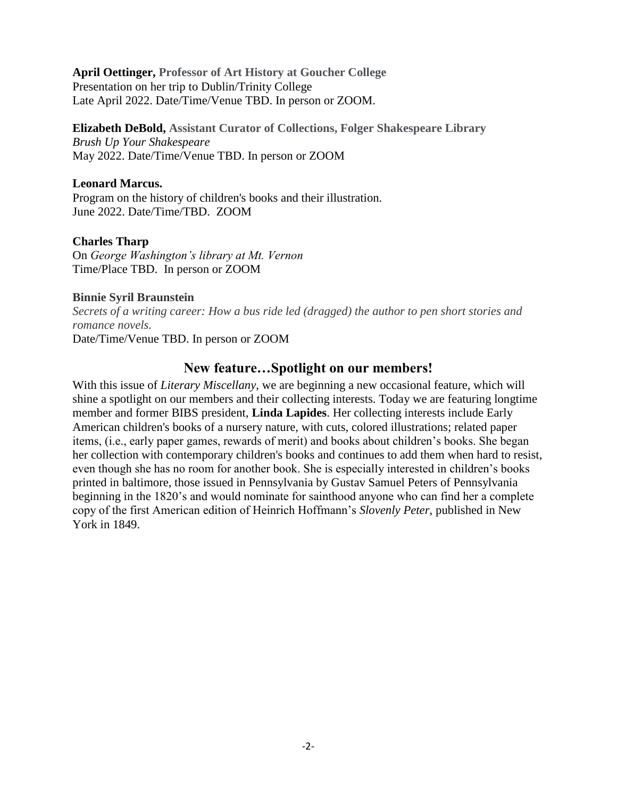**April Oettinger, Professor of Art History at Goucher College** Presentation on her trip to Dublin/Trinity College Late April 2022. Date/Time/Venue TBD. In person or ZOOM.

**Elizabeth DeBold, Assistant Curator of Collections, Folger Shakespeare Library** *Brush Up Your Shakespeare* May 2022. Date/Time/Venue TBD. In person or ZOOM

### **Leonard Marcus.**

Program on the history of children's books and their illustration. June 2022. Date/Time/TBD. ZOOM

### **Charles Tharp**

On *George Washington's library at Mt. Vernon* Time/Place TBD. In person or ZOOM

#### **Binnie Syril Braunstein**

*Secrets of a writing career: How a bus ride led (dragged) the author to pen short stories and romance novels.*

Date/Time/Venue TBD. In person or ZOOM

## **New feature…Spotlight on our members!**

With this issue of *Literary Miscellany*, we are beginning a new occasional feature, which will shine a spotlight on our members and their collecting interests. Today we are featuring longtime member and former BIBS president, **Linda Lapides**. Her collecting interests include Early American children's books of a nursery nature, with cuts, colored illustrations; related paper items, (i.e., early paper games, rewards of merit) and books about children's books. She began her collection with contemporary children's books and continues to add them when hard to resist, even though she has no room for another book. She is especially interested in children's books printed in baltimore, those issued in Pennsylvania by Gustav Samuel Peters of Pennsylvania beginning in the 1820's and would nominate for sainthood anyone who can find her a complete copy of the first American edition of Heinrich Hoffmann's *Slovenly Peter*, published in New York in 1849.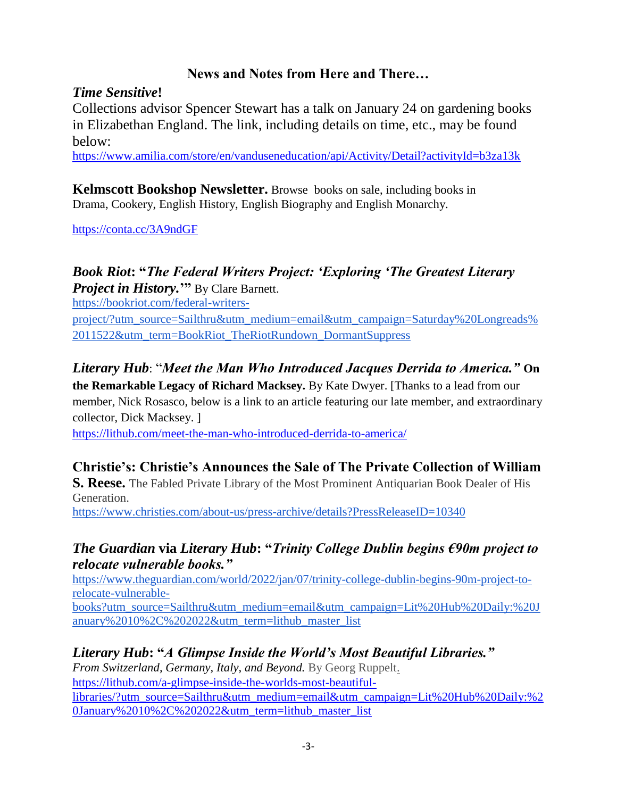# **News and Notes from Here and There…**

## *Time Sensitive***!**

Collections advisor Spencer Stewart has a talk on January 24 on gardening books in Elizabethan England. The link, including details on time, etc., may be found below:

<https://www.amilia.com/store/en/vanduseneducation/api/Activity/Detail?activityId=b3za13k>

**Kelmscott Bookshop Newsletter.** Browse books on sale, including books in Drama, Cookery, English History, English Biography and English Monarchy.

<https://conta.cc/3A9ndGF>

# *Book Riot***: "***The Federal Writers Project: 'Exploring 'The Greatest Literary*

*Project in History.***'"** By Clare Barnett.

[https://bookriot.com/federal-writers-](https://bookriot.com/federal-writers-project/?utm_source=Sailthru&utm_medium=email&utm_campaign=Saturday%20Longreads%2011522&utm_term=BookRiot_TheRiotRundown_DormantSuppress)

[project/?utm\\_source=Sailthru&utm\\_medium=email&utm\\_campaign=Saturday%20Longreads%](https://bookriot.com/federal-writers-project/?utm_source=Sailthru&utm_medium=email&utm_campaign=Saturday%20Longreads%2011522&utm_term=BookRiot_TheRiotRundown_DormantSuppress) [2011522&utm\\_term=BookRiot\\_TheRiotRundown\\_DormantSuppress](https://bookriot.com/federal-writers-project/?utm_source=Sailthru&utm_medium=email&utm_campaign=Saturday%20Longreads%2011522&utm_term=BookRiot_TheRiotRundown_DormantSuppress)

# *Literary Hub*: "*Meet the Man Who Introduced Jacques Derrida to America."* **On**

**the Remarkable Legacy of Richard Macksey.** By Kate Dwyer. [Thanks to a lead from our member, Nick Rosasco, below is a link to an article featuring our late member, and extraordinary collector, Dick Macksey. ]

<https://lithub.com/meet-the-man-who-introduced-derrida-to-america/>

# **Christie's: Christie's Announces the Sale of The Private Collection of William**

**S. Reese.** The Fabled Private Library of the Most Prominent Antiquarian Book Dealer of His Generation.

<https://www.christies.com/about-us/press-archive/details?PressReleaseID=10340>

## *The Guardian* **via** *Literary Hub***: "***Trinity College Dublin begins €90m project to relocate vulnerable books."*

[https://www.theguardian.com/world/2022/jan/07/trinity-college-dublin-begins-90m-project-to](https://www.theguardian.com/world/2022/jan/07/trinity-college-dublin-begins-90m-project-to-relocate-vulnerable-books?utm_source=Sailthru&utm_medium=email&utm_campaign=Lit%20Hub%20Daily:%20January%2010%2C%202022&utm_term=lithub_master_list)[relocate-vulnerable-](https://www.theguardian.com/world/2022/jan/07/trinity-college-dublin-begins-90m-project-to-relocate-vulnerable-books?utm_source=Sailthru&utm_medium=email&utm_campaign=Lit%20Hub%20Daily:%20January%2010%2C%202022&utm_term=lithub_master_list)

[books?utm\\_source=Sailthru&utm\\_medium=email&utm\\_campaign=Lit%20Hub%20Daily:%20J](https://www.theguardian.com/world/2022/jan/07/trinity-college-dublin-begins-90m-project-to-relocate-vulnerable-books?utm_source=Sailthru&utm_medium=email&utm_campaign=Lit%20Hub%20Daily:%20January%2010%2C%202022&utm_term=lithub_master_list) [anuary%2010%2C%202022&utm\\_term=lithub\\_master\\_list](https://www.theguardian.com/world/2022/jan/07/trinity-college-dublin-begins-90m-project-to-relocate-vulnerable-books?utm_source=Sailthru&utm_medium=email&utm_campaign=Lit%20Hub%20Daily:%20January%2010%2C%202022&utm_term=lithub_master_list)

# *Literary Hub***: "***A Glimpse Inside the World's Most Beautiful Libraries."*

*From Switzerland, Germany, Italy, and Beyond.* By Georg Ruppelt. [https://lithub.com/a-glimpse-inside-the-worlds-most-beautiful](https://lithub.com/a-glimpse-inside-the-worlds-most-beautiful-libraries/?utm_source=Sailthru&utm_medium=email&utm_campaign=Lit%20Hub%20Daily:%20January%2010%2C%202022&utm_term=lithub_master_list)[libraries/?utm\\_source=Sailthru&utm\\_medium=email&utm\\_campaign=Lit%20Hub%20Daily:%2](https://lithub.com/a-glimpse-inside-the-worlds-most-beautiful-libraries/?utm_source=Sailthru&utm_medium=email&utm_campaign=Lit%20Hub%20Daily:%20January%2010%2C%202022&utm_term=lithub_master_list) [0January%2010%2C%202022&utm\\_term=lithub\\_master\\_list](https://lithub.com/a-glimpse-inside-the-worlds-most-beautiful-libraries/?utm_source=Sailthru&utm_medium=email&utm_campaign=Lit%20Hub%20Daily:%20January%2010%2C%202022&utm_term=lithub_master_list)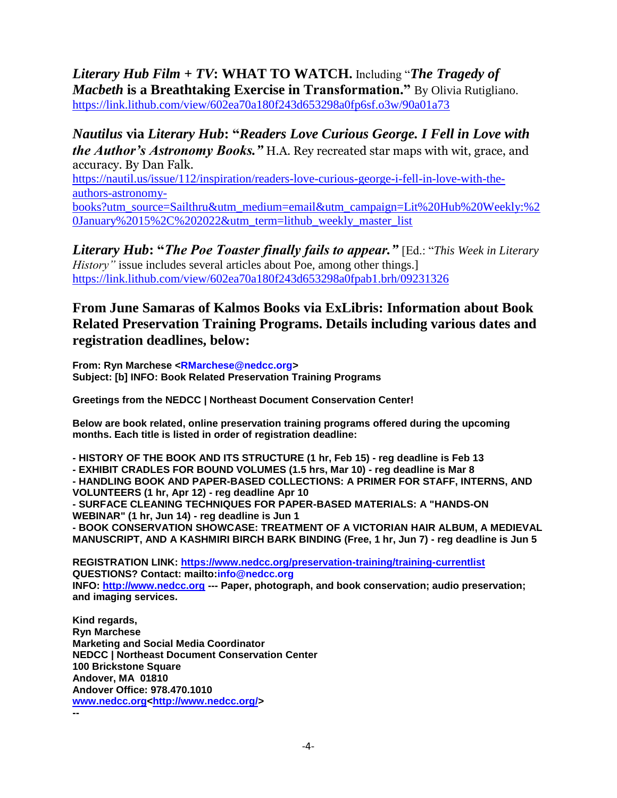*Literary Hub Film* **+** *TV***: WHAT TO WATCH.** Including "*The Tragedy of Macbeth* **is a Breathtaking Exercise in Transformation."** By Olivia Rutigliano. <https://link.lithub.com/view/602ea70a180f243d653298a0fp6sf.o3w/90a01a73>

*Nautilus* **via** *Literary Hub***: "***Readers Love Curious George. I Fell in Love with the Author's Astronomy Books."* H.A. Rey recreated star maps with wit, grace, and accuracy. By Dan Falk.

[https://nautil.us/issue/112/inspiration/readers-love-curious-george-i-fell-in-love-with-the](https://nautil.us/issue/112/inspiration/readers-love-curious-george-i-fell-in-love-with-the-authors-astronomy-books?utm_source=Sailthru&utm_medium=email&utm_campaign=Lit%20Hub%20Weekly:%20January%2015%2C%202022&utm_term=lithub_weekly_master_list)[authors-astronomy-](https://nautil.us/issue/112/inspiration/readers-love-curious-george-i-fell-in-love-with-the-authors-astronomy-books?utm_source=Sailthru&utm_medium=email&utm_campaign=Lit%20Hub%20Weekly:%20January%2015%2C%202022&utm_term=lithub_weekly_master_list)

[books?utm\\_source=Sailthru&utm\\_medium=email&utm\\_campaign=Lit%20Hub%20Weekly:%2](https://nautil.us/issue/112/inspiration/readers-love-curious-george-i-fell-in-love-with-the-authors-astronomy-books?utm_source=Sailthru&utm_medium=email&utm_campaign=Lit%20Hub%20Weekly:%20January%2015%2C%202022&utm_term=lithub_weekly_master_list) [0January%2015%2C%202022&utm\\_term=lithub\\_weekly\\_master\\_list](https://nautil.us/issue/112/inspiration/readers-love-curious-george-i-fell-in-love-with-the-authors-astronomy-books?utm_source=Sailthru&utm_medium=email&utm_campaign=Lit%20Hub%20Weekly:%20January%2015%2C%202022&utm_term=lithub_weekly_master_list)

*Literary Hub***: "***The Poe Toaster finally fails to appear."* [Ed.: "*This Week in Literary History*" issue includes several articles about Poe, among other things.] <https://link.lithub.com/view/602ea70a180f243d653298a0fpab1.brh/09231326>

## **From June Samaras of Kalmos Books via ExLibris: Information about Book Related Preservation Training Programs. Details including various dates and registration deadlines, below:**

**From: Ryn Marchese <RMarchese@nedcc.org> Subject: [b] INFO: Book Related Preservation Training Programs**

**Greetings from the NEDCC | Northeast Document Conservation Center!** 

**Below are book related, online preservation training programs offered during the upcoming months. Each title is listed in order of registration deadline:**

**- HISTORY OF THE BOOK AND ITS STRUCTURE (1 hr, Feb 15) - reg deadline is Feb 13 - EXHIBIT CRADLES FOR BOUND VOLUMES (1.5 hrs, Mar 10) - reg deadline is Mar 8 - HANDLING BOOK AND PAPER-BASED COLLECTIONS: A PRIMER FOR STAFF, INTERNS, AND VOLUNTEERS (1 hr, Apr 12) - reg deadline Apr 10 - SURFACE CLEANING TECHNIQUES FOR PAPER-BASED MATERIALS: A "HANDS-ON WEBINAR" (1 hr, Jun 14) - reg deadline is Jun 1 - BOOK CONSERVATION SHOWCASE: TREATMENT OF A VICTORIAN HAIR ALBUM, A MEDIEVAL MANUSCRIPT, AND A KASHMIRI BIRCH BARK BINDING (Free, 1 hr, Jun 7) - reg deadline is Jun 5**

**REGISTRATION LINK:<https://www.nedcc.org/preservation-training/training-currentlist> QUESTIONS? Contact: mailto:info@nedcc.org INFO: [http://www.nedcc.org](http://www.nedcc.org/) --- Paper, photograph, and book conservation; audio preservation; and imaging services.**

**Kind regards, Ryn Marchese Marketing and Social Media Coordinator NEDCC | Northeast Document Conservation Center 100 Brickstone Square Andover, MA 01810 Andover Office: 978.470.1010 [www.nedcc.org<http://www.nedcc.org/>](http://www.nedcc.org/) --**